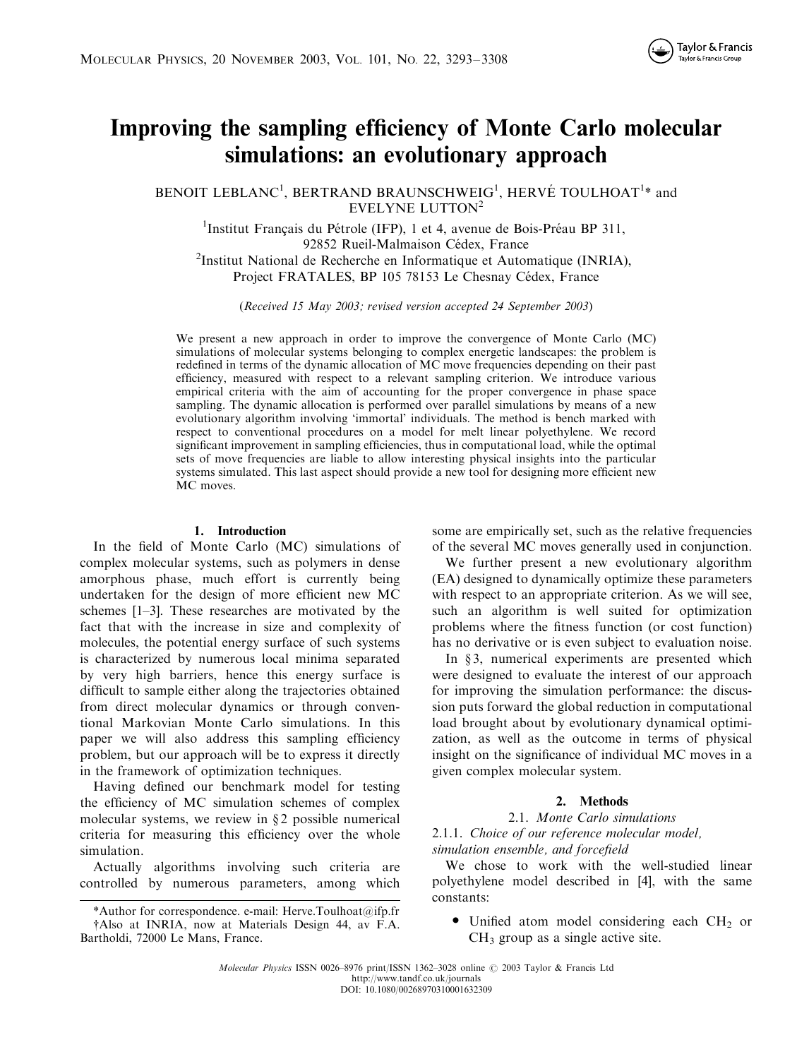

# Improving the sampling efficiency of Monte Carlo molecular simulations: an evolutionary approach

BENOIT LEBLANC<sup>1</sup>, BERTRAND BRAUNSCHWEIG<sup>1</sup>, HERVÉ TOULHOAT<sup>1\*</sup> and EVELYNE LUTTON<sup>2</sup>

<sup>1</sup>Institut Français du Pétrole (IFP), 1 et 4, avenue de Bois-Préau BP 311, 92852 Rueil-Malmaison Cédex, France

<sup>2</sup>Institut National de Recherche en Informatique et Automatique (INRIA), Project FRATALES, BP 105 78153 Le Chesnay Cédex, France

(Received 15 May 2003; revised version accepted 24 September 2003)

We present a new approach in order to improve the convergence of Monte Carlo (MC) simulations of molecular systems belonging to complex energetic landscapes: the problem is redefined in terms of the dynamic allocation of MC move frequencies depending on their past efficiency, measured with respect to a relevant sampling criterion. We introduce various empirical criteria with the aim of accounting for the proper convergence in phase space sampling. The dynamic allocation is performed over parallel simulations by means of a new evolutionary algorithm involving 'immortal' individuals. The method is bench marked with respect to conventional procedures on a model for melt linear polyethylene. We record significant improvement in sampling efficiencies, thus in computational load, while the optimal sets of move frequencies are liable to allow interesting physical insights into the particular systems simulated. This last aspect should provide a new tool for designing more efficient new MC moves.

# 1. Introduction

In the field of Monte Carlo (MC) simulations of complex molecular systems, such as polymers in dense amorphous phase, much effort is currently being undertaken for the design of more efficient new MC schemes [1–3]. These researches are motivated by the fact that with the increase in size and complexity of molecules, the potential energy surface of such systems is characterized by numerous local minima separated by very high barriers, hence this energy surface is difficult to sample either along the trajectories obtained from direct molecular dynamics or through conventional Markovian Monte Carlo simulations. In this paper we will also address this sampling efficiency problem, but our approach will be to express it directly in the framework of optimization techniques.

Having defined our benchmark model for testing the efficiency of MC simulation schemes of complex molecular systems, we review in  $\S 2$  possible numerical criteria for measuring this efficiency over the whole simulation.

Actually algorithms involving such criteria are controlled by numerous parameters, among which some are empirically set, such as the relative frequencies of the several MC moves generally used in conjunction.

We further present a new evolutionary algorithm (EA) designed to dynamically optimize these parameters with respect to an appropriate criterion. As we will see, such an algorithm is well suited for optimization problems where the fitness function (or cost function) has no derivative or is even subject to evaluation noise.

In  $§$ 3, numerical experiments are presented which were designed to evaluate the interest of our approach for improving the simulation performance: the discussion puts forward the global reduction in computational load brought about by evolutionary dynamical optimization, as well as the outcome in terms of physical insight on the significance of individual MC moves in a given complex molecular system.

# 2. Methods

2.1. Monte Carlo simulations 2.1.1. Choice of our reference molecular model, simulation ensemble, and forcefield

We chose to work with the well-studied linear polyethylene model described in [4], with the same constants:

 $\bullet$  Unified atom model considering each CH<sub>2</sub> or  $CH<sub>3</sub>$  group as a single active site.

<sup>\*</sup>Author for correspondence. e-mail: Herve.Toulhoat@ifp.fr yAlso at INRIA, now at Materials Design 44, av F.A.

Bartholdi, 72000 Le Mans, France.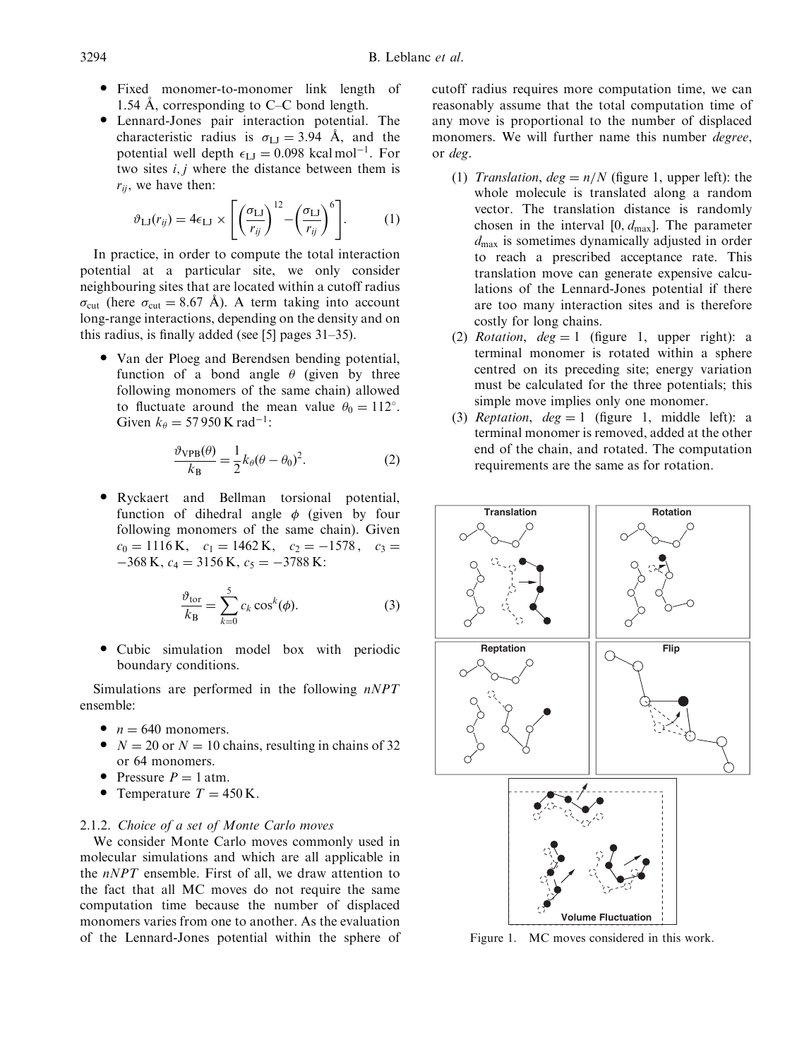- Fixed monomer-to-monomer link length of 1.54 Å, corresponding to C–C bond length.
- Lennard-Jones pair interaction potential. The characteristic radius is  $\sigma_{LJ} = 3.94$  Å, and the potential well depth  $\epsilon_{\text{LJ}} = 0.098$  kcal mol<sup>-1</sup>. For two sites  $i, j$  where the distance between them is  $r_{ii}$ , we have then:

$$
\vartheta_{\text{LJ}}(r_{ij}) = 4\epsilon_{\text{LJ}} \times \left[ \left( \frac{\sigma_{\text{LJ}}}{r_{ij}} \right)^{12} - \left( \frac{\sigma_{\text{LJ}}}{r_{ij}} \right)^{6} \right]. \tag{1}
$$

In practice, in order to compute the total interaction potential at a particular site, we only consider neighbouring sites that are located within a cutoff radius  $\sigma_{\text{cut}}$  (here  $\sigma_{\text{cut}} = 8.67$  Å). A term taking into account long-range interactions, depending on the density and on this radius, is finally added (see [5] pages 31–35).

• Van der Ploeg and Berendsen bending potential, function of a bond angle  $\theta$  (given by three following monomers of the same chain) allowed to fluctuate around the mean value  $\theta_0 = 112^\circ$ . Given  $k_{\theta} = 57950 \,\mathrm{K} \,\mathrm{rad}^{-1}$ :

$$
\frac{\partial_{\text{VPB}}(\theta)}{k_{\text{B}}} = \frac{1}{2}k_{\theta}(\theta - \theta_0)^2.
$$
 (2)

 Ryckaert and Bellman torsional potential, function of dihedral angle  $\phi$  (given by four following monomers of the same chain). Given  $c_0 = 1116$  K,  $c_1 = 1462$  K,  $c_2 = -1578$ ,  $c_3 =$  $-368$  K,  $c_4 = 3156$  K,  $c_5 = -3788$  K:

$$
\frac{\partial_{\text{tor}}}{k_{\text{B}}} = \sum_{k=0}^{5} c_k \cos^k(\phi). \tag{3}
$$

 Cubic simulation model box with periodic boundary conditions.

Simulations are performed in the following nNPT ensemble:

- $n = 640$  monomers.
- $N = 20$  or  $N = 10$  chains, resulting in chains of 32 or 64 monomers.
- Pressure  $P = 1$  atm.
- Temperature  $T = 450$  K.

## 2.1.2. Choice of a set of Monte Carlo moves

We consider Monte Carlo moves commonly used in molecular simulations and which are all applicable in the nNPT ensemble. First of all, we draw attention to the fact that all MC moves do not require the same computation time because the number of displaced monomers varies from one to another. As the evaluation of the Lennard-Jones potential within the sphere of cutoff radius requires more computation time, we can reasonably assume that the total computation time of any move is proportional to the number of displaced monomers. We will further name this number *degree*, or deg.

- (1) Translation,  $deg = n/N$  (figure 1, upper left): the whole molecule is translated along a random vector. The translation distance is randomly chosen in the interval  $[0, d_{\text{max}}]$ . The parameter  $d_{\text{max}}$  is sometimes dynamically adjusted in order to reach a prescribed acceptance rate. This translation move can generate expensive calculations of the Lennard-Jones potential if there are too many interaction sites and is therefore costly for long chains.
- (2) Rotation,  $deg = 1$  (figure 1, upper right): a terminal monomer is rotated within a sphere centred on its preceding site; energy variation must be calculated for the three potentials; this simple move implies only one monomer.
- (3) Reptation,  $deg = 1$  (figure 1, middle left): a terminal monomer is removed, added at the other end of the chain, and rotated. The computation requirements are the same as for rotation.



Figure 1. MC moves considered in this work.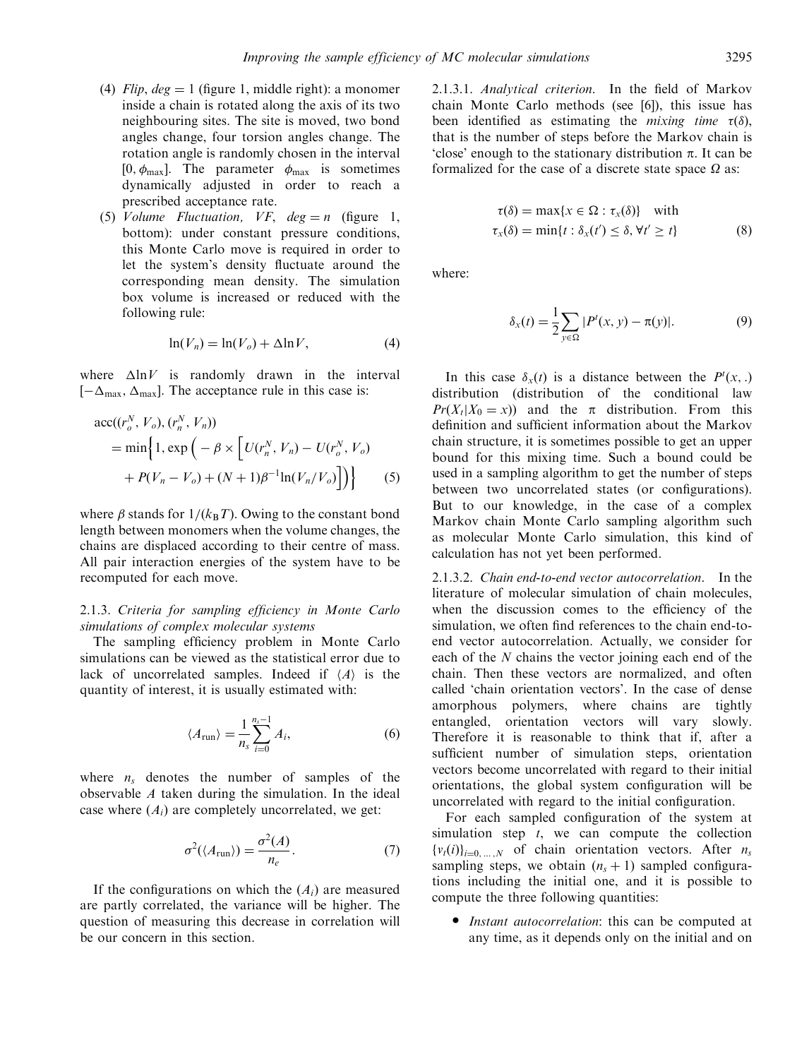- (4) Flip,  $deg = 1$  (figure 1, middle right): a monomer inside a chain is rotated along the axis of its two neighbouring sites. The site is moved, two bond angles change, four torsion angles change. The rotation angle is randomly chosen in the interval [0,  $\phi_{\text{max}}$ ]. The parameter  $\phi_{\text{max}}$  is sometimes dynamically adjusted in order to reach a prescribed acceptance rate.
- (5) Volume Fluctuation, VF,  $deg = n$  (figure 1, bottom): under constant pressure conditions, this Monte Carlo move is required in order to let the system's density fluctuate around the corresponding mean density. The simulation box volume is increased or reduced with the following rule:

$$
\ln(V_n) = \ln(V_o) + \Delta \ln V,\tag{4}
$$

where  $\Delta \ln V$  is randomly drawn in the interval  $[-\Delta_{\text{max}}, \Delta_{\text{max}}]$ . The acceptance rule in this case is:

$$
acc((r_o^N, V_o), (r_n^N, V_n))
$$
  
= min  $\left\{1, exp(-\beta \times [U(r_n^N, V_n) - U(r_o^N, V_o) + P(V_n - V_o) + (N+1)\beta^{-1}ln(V_n/V_o))\right\}\right\}$  (5)

where  $\beta$  stands for  $1/(k_B T)$ . Owing to the constant bond length between monomers when the volume changes, the chains are displaced according to their centre of mass. All pair interaction energies of the system have to be recomputed for each move.

## 2.1.3. Criteria for sampling efficiency in Monte Carlo simulations of complex molecular systems

The sampling efficiency problem in Monte Carlo simulations can be viewed as the statistical error due to lack of uncorrelated samples. Indeed if  $\langle A \rangle$  is the quantity of interest, it is usually estimated with:

$$
\langle A_{\rm run} \rangle = \frac{1}{n_s} \sum_{i=0}^{n_s - 1} A_i,\tag{6}
$$

where  $n_s$  denotes the number of samples of the observable A taken during the simulation. In the ideal case where  $(A_i)$  are completely uncorrelated, we get:

$$
\sigma^2(\langle A_{\rm run} \rangle) = \frac{\sigma^2(A)}{n_e}.
$$
 (7)

If the configurations on which the  $(A_i)$  are measured are partly correlated, the variance will be higher. The question of measuring this decrease in correlation will be our concern in this section.

2.1.3.1. Analytical criterion. In the field of Markov chain Monte Carlo methods (see [6]), this issue has been identified as estimating the *mixing time*  $\tau(\delta)$ , that is the number of steps before the Markov chain is 'close' enough to the stationary distribution  $\pi$ . It can be formalized for the case of a discrete state space *O* as:

$$
\tau(\delta) = \max\{x \in \Omega : \tau_x(\delta)\} \quad \text{with}
$$
  

$$
\tau_x(\delta) = \min\{t : \delta_x(t') \le \delta, \forall t' \ge t\}
$$
 (8)

where:

$$
\delta_x(t) = \frac{1}{2} \sum_{y \in \Omega} |P'(x, y) - \pi(y)|.
$$
 (9)

In this case  $\delta_x(t)$  is a distance between the  $P^t(x,.)$ distribution (distribution of the conditional law  $Pr(X_t|X_0 = x)$  and the  $\pi$  distribution. From this definition and sufficient information about the Markov chain structure, it is sometimes possible to get an upper bound for this mixing time. Such a bound could be used in a sampling algorithm to get the number of steps between two uncorrelated states (or configurations). But to our knowledge, in the case of a complex Markov chain Monte Carlo sampling algorithm such as molecular Monte Carlo simulation, this kind of calculation has not yet been performed.

2.1.3.2. Chain end-to-end vector autocorrelation. In the literature of molecular simulation of chain molecules, when the discussion comes to the efficiency of the simulation, we often find references to the chain end-toend vector autocorrelation. Actually, we consider for each of the N chains the vector joining each end of the chain. Then these vectors are normalized, and often called 'chain orientation vectors'. In the case of dense amorphous polymers, where chains are tightly entangled, orientation vectors will vary slowly. Therefore it is reasonable to think that if, after a sufficient number of simulation steps, orientation vectors become uncorrelated with regard to their initial orientations, the global system configuration will be uncorrelated with regard to the initial configuration.

For each sampled configuration of the system at simulation step  $t$ , we can compute the collection  ${v_t(i)}_{i=0,\ldots,N}$  of chain orientation vectors. After  $n_s$ sampling steps, we obtain  $(n_s + 1)$  sampled configurations including the initial one, and it is possible to compute the three following quantities:

• *Instant autocorrelation*: this can be computed at any time, as it depends only on the initial and on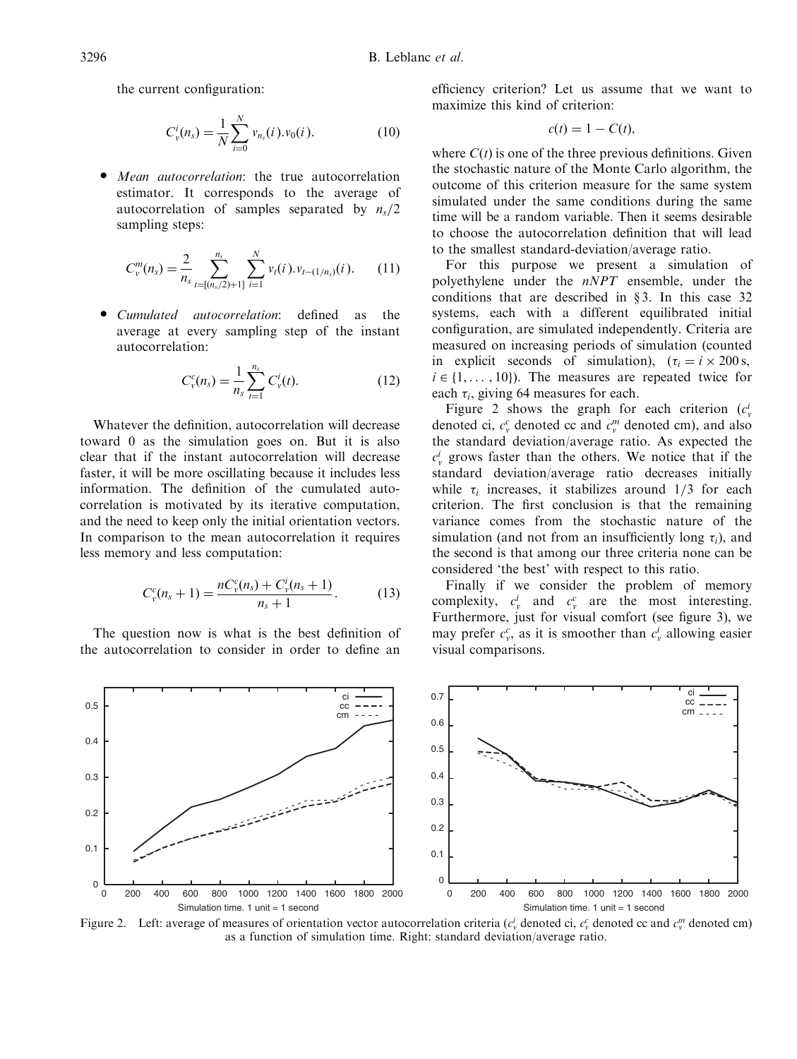the current configuration:

$$
C_{\nu}^{i}(n_{s}) = \frac{1}{N} \sum_{i=0}^{N} v_{n_{s}}(i) \cdot v_{0}(i). \qquad (10)
$$

• *Mean autocorrelation*: the true autocorrelation estimator. It corresponds to the average of autocorrelation of samples separated by  $n_s/2$ sampling steps:

$$
C_{\nu}^{m}(n_{s}) = \frac{2}{n_{s}} \sum_{t=[(n_{s}/2)+1]}^{n_{s}} \sum_{i=1}^{N} v_{t}(i) \cdot v_{t-(1/n_{s})}(i). \tag{11}
$$

 Cumulated autocorrelation: defined as the average at every sampling step of the instant autocorrelation:

$$
C_{\nu}^{c}(n_{s}) = \frac{1}{n_{s}} \sum_{t=1}^{n_{s}} C_{\nu}^{i}(t). \qquad (12)
$$

Whatever the definition, autocorrelation will decrease toward 0 as the simulation goes on. But it is also clear that if the instant autocorrelation will decrease faster, it will be more oscillating because it includes less information. The definition of the cumulated autocorrelation is motivated by its iterative computation, and the need to keep only the initial orientation vectors. In comparison to the mean autocorrelation it requires less memory and less computation:

$$
C_{\nu}^{c}(n_{s}+1) = \frac{nC_{\nu}^{c}(n_{s}) + C_{\nu}^{i}(n_{s}+1)}{n_{s}+1}.
$$
 (13)

The question now is what is the best definition of the autocorrelation to consider in order to define an

efficiency criterion? Let us assume that we want to maximize this kind of criterion:

$$
c(t) = 1 - C(t),
$$

where  $C(t)$  is one of the three previous definitions. Given the stochastic nature of the Monte Carlo algorithm, the outcome of this criterion measure for the same system simulated under the same conditions during the same time will be a random variable. Then it seems desirable to choose the autocorrelation definition that will lead to the smallest standard-deviation/average ratio.

For this purpose we present a simulation of polyethylene under the nNPT ensemble, under the conditions that are described in  $\S 3$ . In this case 32 systems, each with a different equilibrated initial configuration, are simulated independently. Criteria are measured on increasing periods of simulation (counted in explicit seconds of simulation),  $(\tau_i = i \times 200 \text{ s},$  $i \in \{1, \ldots, 10\}$ . The measures are repeated twice for each  $\tau_i$ , giving 64 measures for each.

Figure 2 shows the graph for each criterion  $(c_v^i)$ denoted ci,  $c_v^c$  denoted cc and  $c_v^m$  denoted cm), and also the standard deviation/average ratio. As expected the  $c_v^i$  grows faster than the others. We notice that if the standard deviation/average ratio decreases initially while  $\tau_i$  increases, it stabilizes around 1/3 for each criterion. The first conclusion is that the remaining variance comes from the stochastic nature of the simulation (and not from an insufficiently long  $\tau_i$ ), and the second is that among our three criteria none can be considered 'the best' with respect to this ratio.

Finally if we consider the problem of memory complexity,  $c_v^i$  and  $c_v^c$  are the most interesting. Furthermore, just for visual comfort (see figure 3), we may prefer  $c_v^c$ , as it is smoother than  $c_v^i$  allowing easier visual comparisons.



Figure 2. Left: average of measures of orientation vector autocorrelation criteria ( $c_v^i$  denoted ci,  $c_v^c$  denoted cc and  $c_v^m$  denoted cm) as a function of simulation time. Right: standard deviation/average ratio.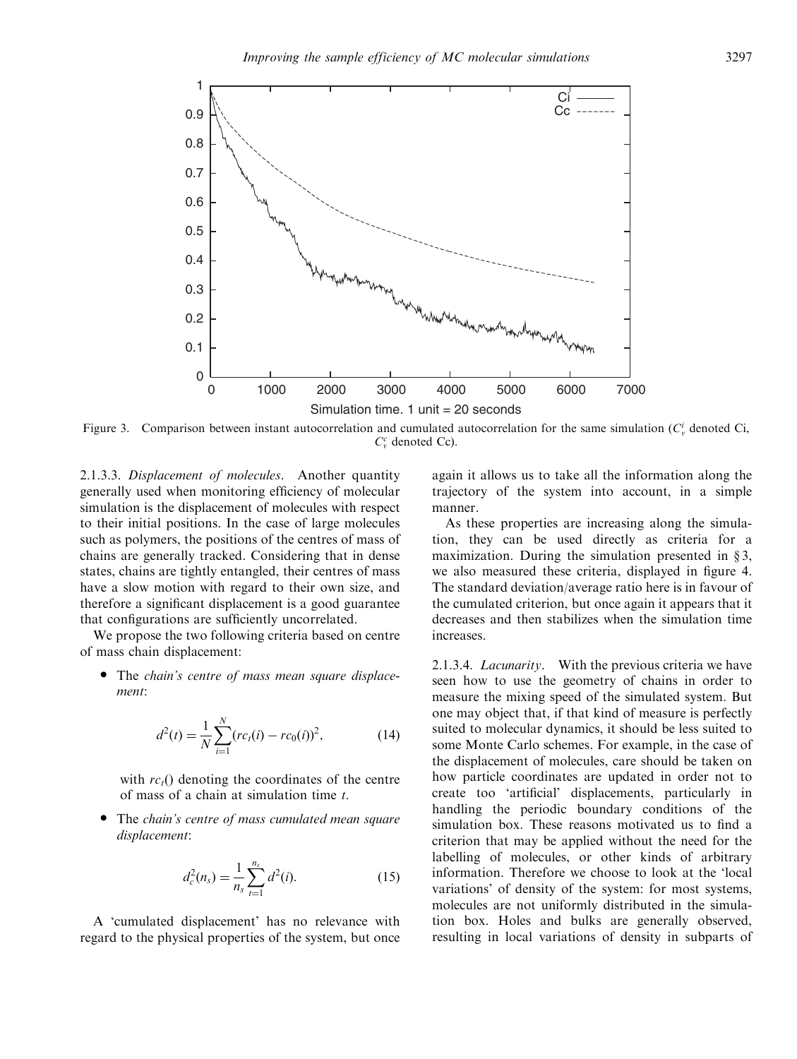

Figure 3. Comparison between instant autocorrelation and cumulated autocorrelation for the same simulation  $(C_v^i)$  denoted Ci,  $C_v^c$  denoted Cc).

2.1.3.3. Displacement of molecules. Another quantity generally used when monitoring efficiency of molecular simulation is the displacement of molecules with respect to their initial positions. In the case of large molecules such as polymers, the positions of the centres of mass of chains are generally tracked. Considering that in dense states, chains are tightly entangled, their centres of mass have a slow motion with regard to their own size, and therefore a significant displacement is a good guarantee that configurations are sufficiently uncorrelated.

We propose the two following criteria based on centre of mass chain displacement:

• The chain's centre of mass mean square displacement:

$$
d^{2}(t) = \frac{1}{N} \sum_{i=1}^{N} (rc_{t}(i) - rc_{0}(i))^{2},
$$
\n(14)

with  $rc<sub>t</sub>($ ) denoting the coordinates of the centre of mass of a chain at simulation time t.

 The chain's centre of mass cumulated mean square displacement:

$$
d_c^2(n_s) = \frac{1}{n_s} \sum_{t=1}^{n_s} d^2(t).
$$
 (15)

A 'cumulated displacement' has no relevance with regard to the physical properties of the system, but once

again it allows us to take all the information along the trajectory of the system into account, in a simple manner.

As these properties are increasing along the simulation, they can be used directly as criteria for a maximization. During the simulation presented in  $\S 3$ , we also measured these criteria, displayed in figure 4. The standard deviation/average ratio here is in favour of the cumulated criterion, but once again it appears that it decreases and then stabilizes when the simulation time increases.

2.1.3.4. Lacunarity. With the previous criteria we have seen how to use the geometry of chains in order to measure the mixing speed of the simulated system. But one may object that, if that kind of measure is perfectly suited to molecular dynamics, it should be less suited to some Monte Carlo schemes. For example, in the case of the displacement of molecules, care should be taken on how particle coordinates are updated in order not to create too 'artificial' displacements, particularly in handling the periodic boundary conditions of the simulation box. These reasons motivated us to find a criterion that may be applied without the need for the labelling of molecules, or other kinds of arbitrary information. Therefore we choose to look at the 'local variations' of density of the system: for most systems, molecules are not uniformly distributed in the simulation box. Holes and bulks are generally observed, resulting in local variations of density in subparts of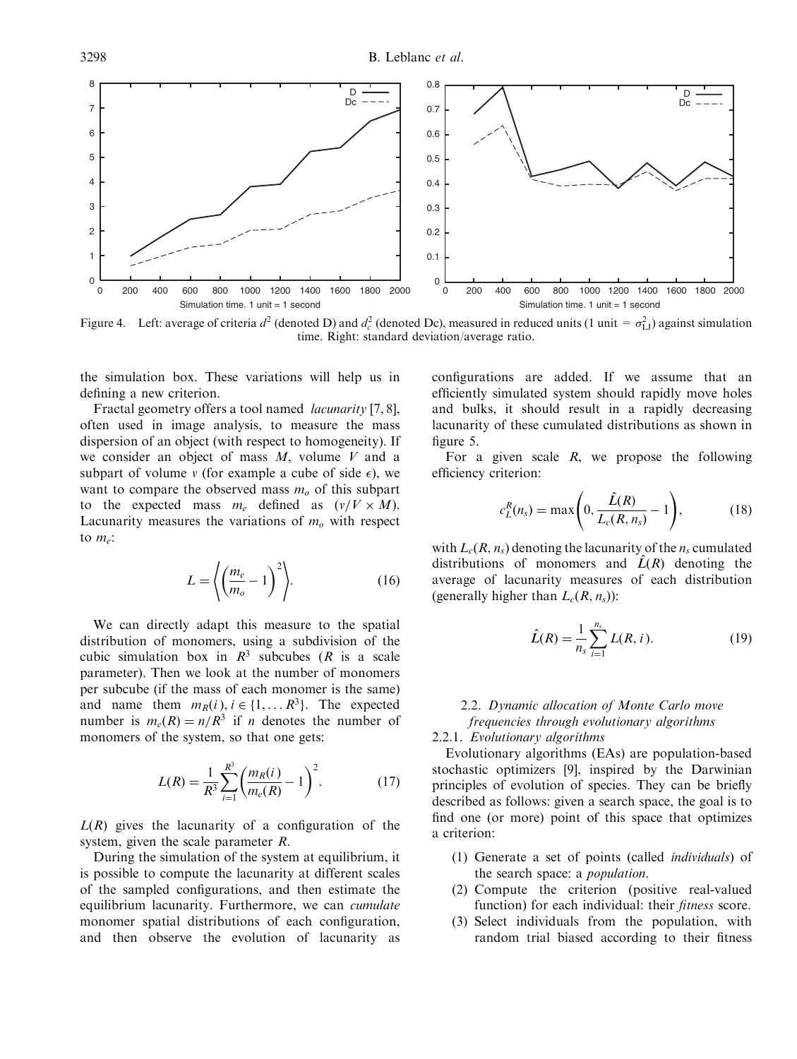

Figure 4. Left: average of criteria  $d^2$  (denoted D) and  $d_c^2$  (denoted Dc), measured in reduced units (1 unit =  $\sigma_{LJ}^2$ ) against simulation time. Right: standard deviation/average ratio.

the simulation box. These variations will help us in defining a new criterion.

Fractal geometry offers a tool named lacunarity [7, 8], often used in image analysis, to measure the mass dispersion of an object (with respect to homogeneity). If we consider an object of mass  $M$ , volume  $V$  and a subpart of volume v (for example a cube of side  $\epsilon$ ), we want to compare the observed mass  $m<sub>o</sub>$  of this subpart to the expected mass  $m_e$  defined as  $(v/V \times M)$ . Lacunarity measures the variations of  $m<sub>o</sub>$  with respect to  $m_e$ :

$$
L = \left\langle \left(\frac{m_e}{m_o} - 1\right)^2 \right\rangle. \tag{16}
$$

We can directly adapt this measure to the spatial distribution of monomers, using a subdivision of the cubic simulation box in  $R<sup>3</sup>$  subcubes (R is a scale parameter). Then we look at the number of monomers per subcube (if the mass of each monomer is the same) and name them  $m_R(i), i \in \{1, \dots R^3\}$ . The expected number is  $m_e(R) = n/R^3$  if *n* denotes the number of monomers of the system, so that one gets:

$$
L(R) = \frac{1}{R^3} \sum_{i=1}^{R^3} \left( \frac{m_R(i)}{m_e(R)} - 1 \right)^2.
$$
 (17)

 $L(R)$  gives the lacunarity of a configuration of the system, given the scale parameter R.

During the simulation of the system at equilibrium, it is possible to compute the lacunarity at different scales of the sampled configurations, and then estimate the equilibrium lacunarity. Furthermore, we can cumulate monomer spatial distributions of each configuration, and then observe the evolution of lacunarity as configurations are added. If we assume that an efficiently simulated system should rapidly move holes and bulks, it should result in a rapidly decreasing lacunarity of these cumulated distributions as shown in figure 5.

For a given scale  $R$ , we propose the following efficiency criterion:

$$
c_L^R(n_s) = \max\left(0, \frac{\hat{L}(R)}{L_c(R, n_s)} - 1\right),\tag{18}
$$

with  $L_c(R, n_s)$  denoting the lacunarity of the  $n_s$  cumulated distributions of monomers and  $\hat{L}(R)$  denoting the average of lacunarity measures of each distribution (generally higher than  $L_c(R, n_s)$ ):

$$
\hat{L}(R) = \frac{1}{n_s} \sum_{i=1}^{n_s} L(R, i). \tag{19}
$$

# 2.2. Dynamic allocation of Monte Carlo move frequencies through evolutionary algorithms

## 2.2.1. Evolutionary algorithms

Evolutionary algorithms (EAs) are population-based stochastic optimizers [9], inspired by the Darwinian principles of evolution of species. They can be briefly described as follows: given a search space, the goal is to find one (or more) point of this space that optimizes a criterion:

- (1) Generate a set of points (called individuals) of the search space: a population.
- (2) Compute the criterion (positive real-valued function) for each individual: their *fitness* score.
- (3) Select individuals from the population, with random trial biased according to their fitness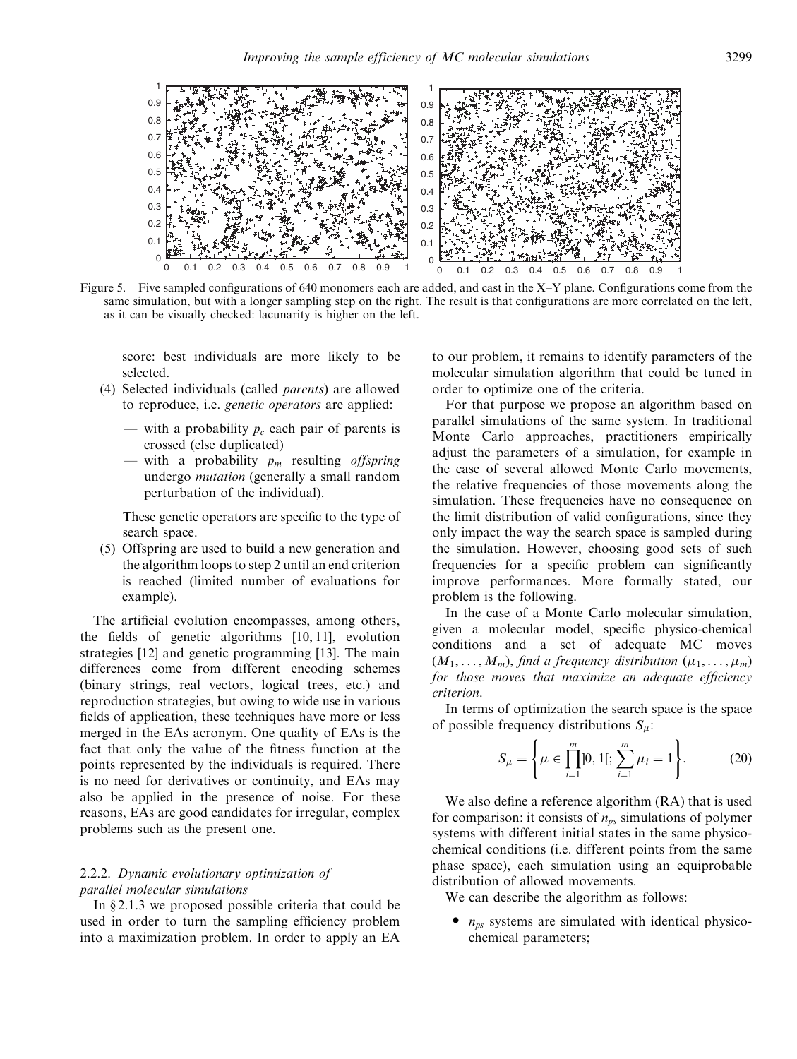

Figure 5. Five sampled configurations of 640 monomers each are added, and cast in the X–Y plane. Configurations come from the same simulation, but with a longer sampling step on the right. The result is that configurations are more correlated on the left, as it can be visually checked: lacunarity is higher on the left.

score: best individuals are more likely to be selected.

- (4) Selected individuals (called parents) are allowed to reproduce, i.e. genetic operators are applied:
	- with a probability  $p_c$  each pair of parents is crossed (else duplicated)
	- with a probability  $p_m$  resulting *offspring* undergo mutation (generally a small random perturbation of the individual).

These genetic operators are specific to the type of search space.

(5) Offspring are used to build a new generation and the algorithm loops to step 2 until an end criterion is reached (limited number of evaluations for example).

The artificial evolution encompasses, among others, the fields of genetic algorithms [10, 11], evolution strategies [12] and genetic programming [13]. The main differences come from different encoding schemes (binary strings, real vectors, logical trees, etc.) and reproduction strategies, but owing to wide use in various fields of application, these techniques have more or less merged in the EAs acronym. One quality of EAs is the fact that only the value of the fitness function at the points represented by the individuals is required. There is no need for derivatives or continuity, and EAs may also be applied in the presence of noise. For these reasons, EAs are good candidates for irregular, complex problems such as the present one.

# 2.2.2. Dynamic evolutionary optimization of parallel molecular simulations

In  $\S 2.1.3$  we proposed possible criteria that could be used in order to turn the sampling efficiency problem into a maximization problem. In order to apply an EA to our problem, it remains to identify parameters of the molecular simulation algorithm that could be tuned in order to optimize one of the criteria.

For that purpose we propose an algorithm based on parallel simulations of the same system. In traditional Monte Carlo approaches, practitioners empirically adjust the parameters of a simulation, for example in the case of several allowed Monte Carlo movements, the relative frequencies of those movements along the simulation. These frequencies have no consequence on the limit distribution of valid configurations, since they only impact the way the search space is sampled during the simulation. However, choosing good sets of such frequencies for a specific problem can significantly improve performances. More formally stated, our problem is the following.

In the case of a Monte Carlo molecular simulation, given a molecular model, specific physico-chemical conditions and a set of adequate MC moves  $(M_1, \ldots, M_m)$ , find a frequency distribution  $(\mu_1, \ldots, \mu_m)$ for those moves that maximize an adequate efficiency criterion.

In terms of optimization the search space is the space of possible frequency distributions  $S_{\mu}$ :

$$
S_{\mu} = \left\{ \mu \in \prod_{i=1}^{m} ]0, 1[; \sum_{i=1}^{m} \mu_{i} = 1 \right\}.
$$
 (20)

We also define a reference algorithm (RA) that is used for comparison: it consists of  $n_{ps}$  simulations of polymer systems with different initial states in the same physicochemical conditions (i.e. different points from the same phase space), each simulation using an equiprobable distribution of allowed movements.

We can describe the algorithm as follows:

•  $n_{ns}$  systems are simulated with identical physicochemical parameters;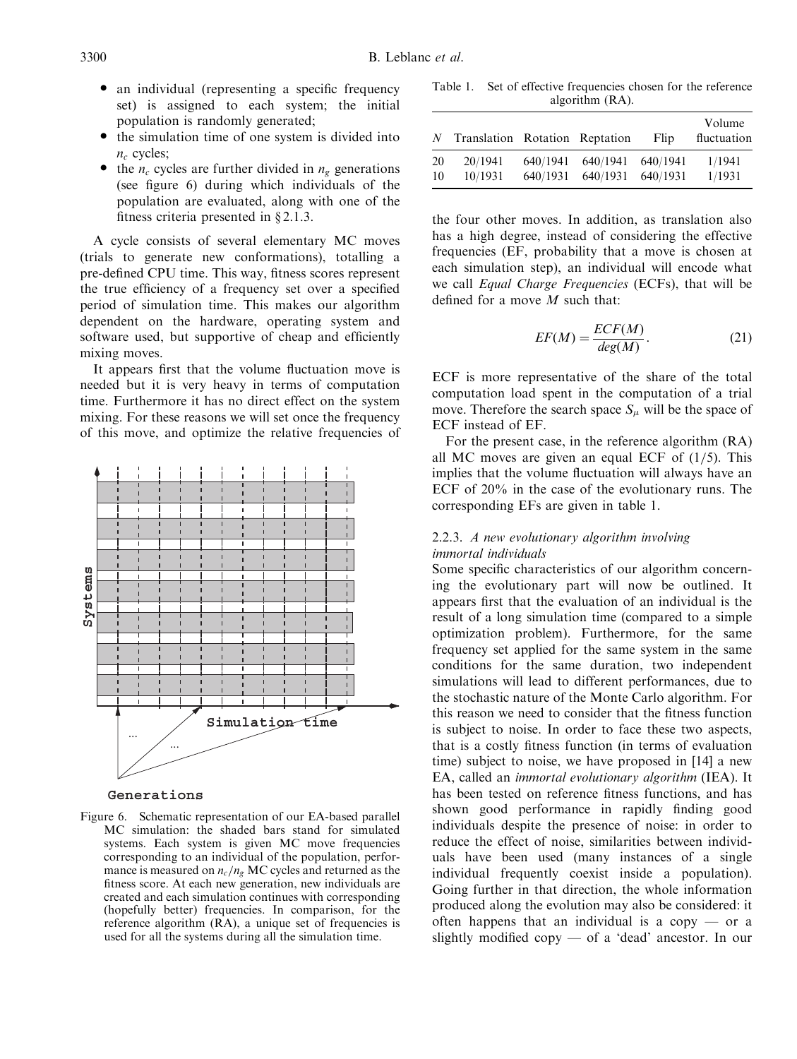- an individual (representing a specific frequency set) is assigned to each system; the initial population is randomly generated;
- the simulation time of one system is divided into  $n_c$  cycles;
- the  $n_c$  cycles are further divided in  $n_g$  generations (see figure 6) during which individuals of the population are evaluated, along with one of the fitness criteria presented in  $\S 2.1.3$ .

A cycle consists of several elementary MC moves (trials to generate new conformations), totalling a pre-defined CPU time. This way, fitness scores represent the true efficiency of a frequency set over a specified period of simulation time. This makes our algorithm dependent on the hardware, operating system and software used, but supportive of cheap and efficiently mixing moves.

It appears first that the volume fluctuation move is needed but it is very heavy in terms of computation time. Furthermore it has no direct effect on the system mixing. For these reasons we will set once the frequency of this move, and optimize the relative frequencies of



**Generations**

Figure 6. Schematic representation of our EA-based parallel MC simulation: the shaded bars stand for simulated systems. Each system is given MC move frequencies corresponding to an individual of the population, performance is measured on  $n_c/n_g$  MC cycles and returned as the fitness score. At each new generation, new individuals are created and each simulation continues with corresponding (hopefully better) frequencies. In comparison, for the reference algorithm (RA), a unique set of frequencies is used for all the systems during all the simulation time.

Table 1. Set of effective frequencies chosen for the reference algorithm (RA).

| N  | Translation Rotation Reptation |          |          | Flip     | Volume<br>fluctuation |
|----|--------------------------------|----------|----------|----------|-----------------------|
| 20 | 20/1941                        | 640/1941 | 640/1941 | 640/1941 | 1/1941                |
| 10 | 10/1931                        | 640/1931 | 640/1931 | 640/1931 | 1/1931                |

the four other moves. In addition, as translation also has a high degree, instead of considering the effective frequencies (EF, probability that a move is chosen at each simulation step), an individual will encode what we call Equal Charge Frequencies (ECFs), that will be defined for a move  $M$  such that:

$$
EF(M) = \frac{ECF(M)}{deg(M)}.\t(21)
$$

ECF is more representative of the share of the total computation load spent in the computation of a trial move. Therefore the search space  $S_u$  will be the space of ECF instead of EF.

For the present case, in the reference algorithm (RA) all MC moves are given an equal ECF of  $(1/5)$ . This implies that the volume fluctuation will always have an ECF of 20% in the case of the evolutionary runs. The corresponding EFs are given in table 1.

# 2.2.3. A new evolutionary algorithm involving immortal individuals

Some specific characteristics of our algorithm concerning the evolutionary part will now be outlined. It appears first that the evaluation of an individual is the result of a long simulation time (compared to a simple optimization problem). Furthermore, for the same frequency set applied for the same system in the same conditions for the same duration, two independent simulations will lead to different performances, due to the stochastic nature of the Monte Carlo algorithm. For this reason we need to consider that the fitness function is subject to noise. In order to face these two aspects, that is a costly fitness function (in terms of evaluation time) subject to noise, we have proposed in [14] a new EA, called an immortal evolutionary algorithm (IEA). It has been tested on reference fitness functions, and has shown good performance in rapidly finding good individuals despite the presence of noise: in order to reduce the effect of noise, similarities between individuals have been used (many instances of a single individual frequently coexist inside a population). Going further in that direction, the whole information produced along the evolution may also be considered: it often happens that an individual is a copy — or a slightly modified copy — of a 'dead' ancestor. In our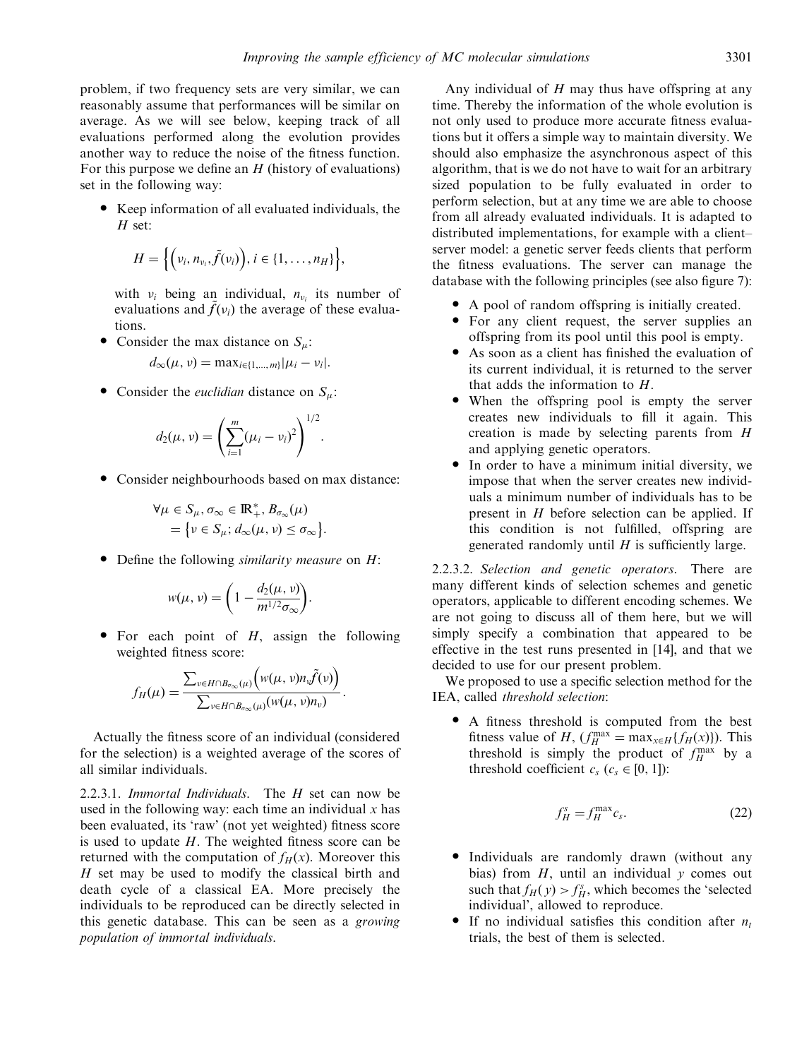problem, if two frequency sets are very similar, we can reasonably assume that performances will be similar on average. As we will see below, keeping track of all evaluations performed along the evolution provides another way to reduce the noise of the fitness function. For this purpose we define an  $H$  (history of evaluations) set in the following way:

• Keep information of all evaluated individuals, the  $H$  set:

$$
H = \Big\{ \Big( v_i, n_{v_i}, \tilde{f}(v_i) \Big), i \in \{1, \ldots, n_H\} \Big\},\
$$

with  $v_i$  being an individual,  $n_{v_i}$  its number of evaluations and  $\tilde{f}(v_i)$  the average of these evaluations.

• Consider the max distance on  $S_{\mu}$ :

$$
d_{\infty}(\mu, \nu) = \max_{i \in \{1, ..., m\}} |\mu_i - \nu_i|.
$$

• Consider the *euclidian* distance on  $S_u$ :

$$
d_2(\mu, \nu) = \left(\sum_{i=1}^m (\mu_i - \nu_i)^2\right)^{1/2}
$$

Consider neighbourhoods based on max distance:

:

:

$$
\forall \mu \in S_{\mu}, \sigma_{\infty} \in \mathbb{R}_{+}^{*}, B_{\sigma_{\infty}}(\mu)
$$
  
=  $\{ \nu \in S_{\mu}; d_{\infty}(\mu, \nu) \leq \sigma_{\infty} \}.$ 

 $\bullet$  Define the following *similarity measure* on  $H$ :

$$
w(\mu, \nu) = \bigg(1 - \frac{d_2(\mu, \nu)}{m^{1/2} \sigma_{\infty}}\bigg).
$$

• For each point of  $H$ , assign the following weighted fitness score:

$$
f_H(\mu) = \frac{\sum_{v \in H \cap B_{\sigma_{\infty}}(\mu)} \left( w(\mu, v) n_v \tilde{f}(v) \right)}{\sum_{v \in H \cap B_{\sigma_{\infty}}(\mu)} \left( w(\mu, v) n_v \right)}
$$

Actually the fitness score of an individual (considered for the selection) is a weighted average of the scores of all similar individuals.

2.2.3.1. Immortal Individuals. The H set can now be used in the following way: each time an individual  $x$  has been evaluated, its 'raw' (not yet weighted) fitness score is used to update  $H$ . The weighted fitness score can be returned with the computation of  $f_H(x)$ . Moreover this H set may be used to modify the classical birth and death cycle of a classical EA. More precisely the individuals to be reproduced can be directly selected in this genetic database. This can be seen as a growing population of immortal individuals.

Any individual of  $H$  may thus have offspring at any time. Thereby the information of the whole evolution is not only used to produce more accurate fitness evaluations but it offers a simple way to maintain diversity. We should also emphasize the asynchronous aspect of this algorithm, that is we do not have to wait for an arbitrary sized population to be fully evaluated in order to perform selection, but at any time we are able to choose from all already evaluated individuals. It is adapted to distributed implementations, for example with a client– server model: a genetic server feeds clients that perform the fitness evaluations. The server can manage the database with the following principles (see also figure 7):

- A pool of random offspring is initially created.
- For any client request, the server supplies an offspring from its pool until this pool is empty.
- As soon as a client has finished the evaluation of its current individual, it is returned to the server that adds the information to H.
- When the offspring pool is empty the server creates new individuals to fill it again. This creation is made by selecting parents from H and applying genetic operators.
- In order to have a minimum initial diversity, we impose that when the server creates new individuals a minimum number of individuals has to be present in H before selection can be applied. If this condition is not fulfilled, offspring are generated randomly until  $H$  is sufficiently large.

2.2.3.2. Selection and genetic operators. There are many different kinds of selection schemes and genetic operators, applicable to different encoding schemes. We are not going to discuss all of them here, but we will simply specify a combination that appeared to be effective in the test runs presented in [14], and that we decided to use for our present problem.

We proposed to use a specific selection method for the IEA, called threshold selection:

 A fitness threshold is computed from the best fitness value of H,  $(f_H^{\text{max}}) = \max_{x \in H} \{f_H(x)\}\)$ . This threshold is simply the product of  $f_H^{\text{max}}$  by a threshold coefficient  $c_s$  ( $c_s \in [0, 1]$ ):

$$
f_H^s = f_H^{\max} c_s. \tag{22}
$$

- Individuals are randomly drawn (without any bias) from  $H$ , until an individual  $y$  comes out such that  $f_H(y) > f_H^s$ , which becomes the 'selected individual', allowed to reproduce.
- If no individual satisfies this condition after  $n_t$ trials, the best of them is selected.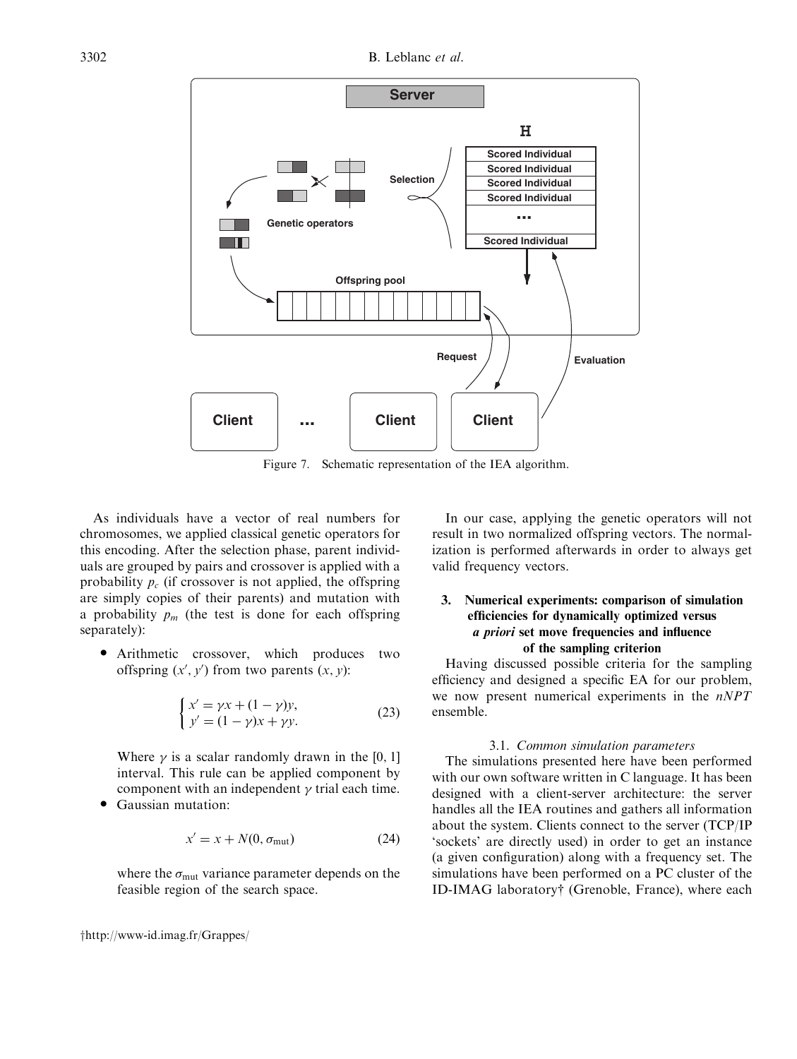

Figure 7. Schematic representation of the IEA algorithm.

As individuals have a vector of real numbers for chromosomes, we applied classical genetic operators for this encoding. After the selection phase, parent individuals are grouped by pairs and crossover is applied with a probability  $p_c$  (if crossover is not applied, the offspring are simply copies of their parents) and mutation with a probability  $p_m$  (the test is done for each offspring separately):

 Arithmetic crossover, which produces two offspring  $(x', y')$  from two parents  $(x, y)$ :

$$
\begin{cases}\nx' = \gamma x + (1 - \gamma)y, \\
y' = (1 - \gamma)x + \gamma y.\n\end{cases}
$$
\n(23)

Where  $\gamma$  is a scalar randomly drawn in the [0, 1] interval. This rule can be applied component by component with an independent  $\gamma$  trial each time.

Gaussian mutation:

$$
x' = x + N(0, \sigma_{\text{mut}}) \tag{24}
$$

where the  $\sigma_{\text{mut}}$  variance parameter depends on the feasible region of the search space.

yhttp://www-id.imag.fr/Grappes/

In our case, applying the genetic operators will not result in two normalized offspring vectors. The normalization is performed afterwards in order to always get valid frequency vectors.

# 3. Numerical experiments: comparison of simulation efficiencies for dynamically optimized versus a priori set move frequencies and influence of the sampling criterion

Having discussed possible criteria for the sampling efficiency and designed a specific EA for our problem, we now present numerical experiments in the  $nNPT$ ensemble.

## 3.1. Common simulation parameters

The simulations presented here have been performed with our own software written in C language. It has been designed with a client-server architecture: the server handles all the IEA routines and gathers all information about the system. Clients connect to the server (TCP/IP 'sockets' are directly used) in order to get an instance (a given configuration) along with a frequency set. The simulations have been performed on a PC cluster of the ID-IMAG laboratory† (Grenoble, France), where each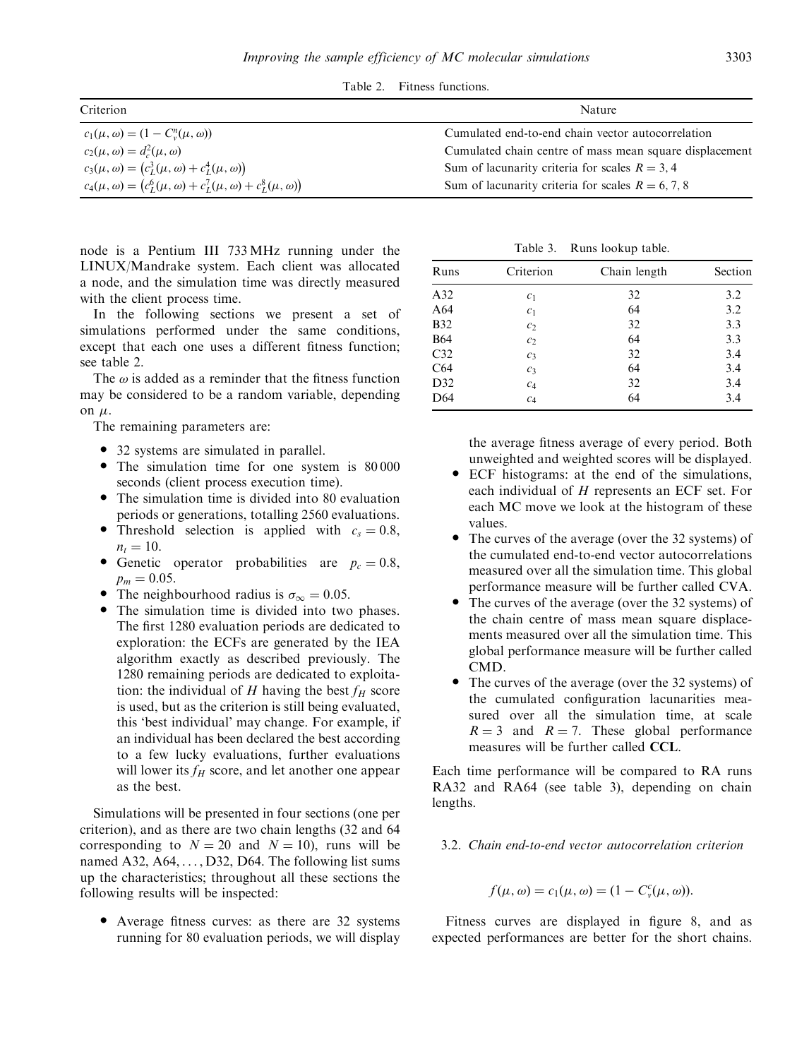Table 2. Fitness functions.

| Criterion                                                                           | Nature                                                  |  |  |
|-------------------------------------------------------------------------------------|---------------------------------------------------------|--|--|
| $c_1(\mu, \omega) = (1 - C_v^n(\mu, \omega))$                                       | Cumulated end-to-end chain vector autocorrelation       |  |  |
| $c_2(\mu, \omega) = d_c^2(\mu, \omega)$                                             | Cumulated chain centre of mass mean square displacement |  |  |
| $c_3(\mu, \omega) = (c_L^3(\mu, \omega) + c_L^4(\mu, \omega))$                      | Sum of lacunarity criteria for scales $R = 3, 4$        |  |  |
| $c_4(\mu, \omega) = (c_L^6(\mu, \omega) + c_L^7(\mu, \omega) + c_L^8(\mu, \omega))$ | Sum of lacunarity criteria for scales $R = 6, 7, 8$     |  |  |

node is a Pentium III 733 MHz running under the LINUX/Mandrake system. Each client was allocated a node, and the simulation time was directly measured with the client process time.

In the following sections we present a set of simulations performed under the same conditions, except that each one uses a different fitness function; see table 2.

The  $\omega$  is added as a reminder that the fitness function may be considered to be a random variable, depending on  $\mu$ .

The remaining parameters are:

- 32 systems are simulated in parallel.
- The simulation time for one system is 80000 seconds (client process execution time).
- The simulation time is divided into 80 evaluation periods or generations, totalling 2560 evaluations.
- Threshold selection is applied with  $c_s = 0.8$ ,  $n_t = 10$ .
- Genetic operator probabilities are  $p_c = 0.8$ ,  $p_m = 0.05$ .
- The neighbourhood radius is  $\sigma_{\infty} = 0.05$ .
- The simulation time is divided into two phases. The first 1280 evaluation periods are dedicated to exploration: the ECFs are generated by the IEA algorithm exactly as described previously. The 1280 remaining periods are dedicated to exploitation: the individual of H having the best  $f_H$  score is used, but as the criterion is still being evaluated, this 'best individual' may change. For example, if an individual has been declared the best according to a few lucky evaluations, further evaluations will lower its  $f_H$  score, and let another one appear as the best.

Simulations will be presented in four sections (one per criterion), and as there are two chain lengths (32 and 64 corresponding to  $N = 20$  and  $N = 10$ , runs will be named A32, A64, ..., D32, D64. The following list sums up the characteristics; throughout all these sections the following results will be inspected:

 Average fitness curves: as there are 32 systems running for 80 evaluation periods, we will display

|                 | Table 3.       | Runs lookup table. |         |
|-----------------|----------------|--------------------|---------|
| Runs            | Criterion      | Chain length       | Section |
| A32             | c <sub>1</sub> | 32                 | 3.2     |
| A64             | c <sub>1</sub> | 64                 | 3.2     |
| <b>B32</b>      | c <sub>2</sub> | 32                 | 3.3     |
| <b>B64</b>      | c <sub>2</sub> | 64                 | 3.3     |
| C32             | $c_3$          | 32                 | 3.4     |
| C64             | $c_3$          | 64                 | 3.4     |
| D32             | c <sub>4</sub> | 32                 | 3.4     |
| D <sub>64</sub> | c <sub>4</sub> | 64                 | 3.4     |

the average fitness average of every period. Both unweighted and weighted scores will be displayed.

- ECF histograms: at the end of the simulations, each individual of  $H$  represents an ECF set. For each MC move we look at the histogram of these values.
- The curves of the average (over the 32 systems) of the cumulated end-to-end vector autocorrelations measured over all the simulation time. This global performance measure will be further called CVA.
- The curves of the average (over the 32 systems) of the chain centre of mass mean square displacements measured over all the simulation time. This global performance measure will be further called CMD.
- The curves of the average (over the 32 systems) of the cumulated configuration lacunarities measured over all the simulation time, at scale  $R = 3$  and  $R = 7$ . These global performance measures will be further called CCL.

Each time performance will be compared to RA runs RA32 and RA64 (see table 3), depending on chain lengths.

## 3.2. Chain end-to-end vector autocorrelation criterion

$$
f(\mu, \omega) = c_1(\mu, \omega) = (1 - C_v^c(\mu, \omega)).
$$

Fitness curves are displayed in figure 8, and as expected performances are better for the short chains.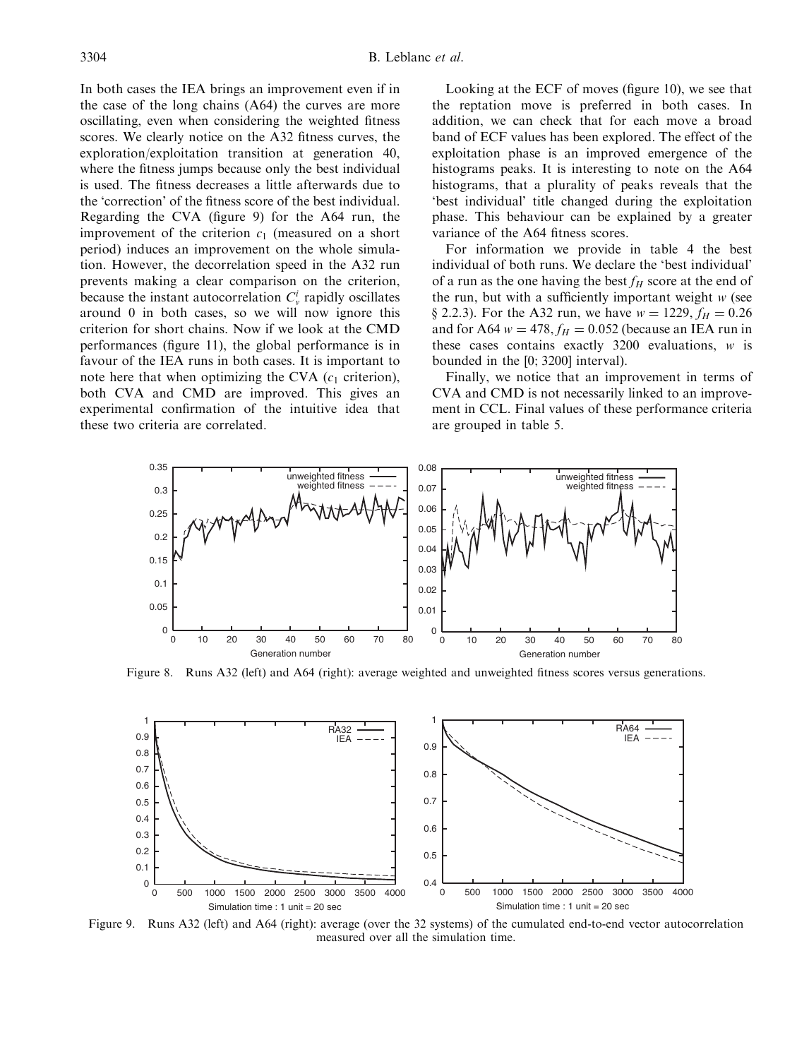In both cases the IEA brings an improvement even if in the case of the long chains (A64) the curves are more oscillating, even when considering the weighted fitness scores. We clearly notice on the A32 fitness curves, the exploration/exploitation transition at generation 40, where the fitness jumps because only the best individual is used. The fitness decreases a little afterwards due to the 'correction' of the fitness score of the best individual. Regarding the CVA (figure 9) for the A64 run, the improvement of the criterion  $c_1$  (measured on a short period) induces an improvement on the whole simulation. However, the decorrelation speed in the A32 run prevents making a clear comparison on the criterion, because the instant autocorrelation  $C_v^i$  rapidly oscillates around 0 in both cases, so we will now ignore this criterion for short chains. Now if we look at the CMD performances (figure 11), the global performance is in favour of the IEA runs in both cases. It is important to note here that when optimizing the CVA  $(c_1$  criterion), both CVA and CMD are improved. This gives an experimental confirmation of the intuitive idea that these two criteria are correlated.

Looking at the ECF of moves (figure 10), we see that the reptation move is preferred in both cases. In addition, we can check that for each move a broad band of ECF values has been explored. The effect of the exploitation phase is an improved emergence of the histograms peaks. It is interesting to note on the A64 histograms, that a plurality of peaks reveals that the 'best individual' title changed during the exploitation phase. This behaviour can be explained by a greater variance of the A64 fitness scores.

For information we provide in table 4 the best individual of both runs. We declare the 'best individual' of a run as the one having the best  $f_H$  score at the end of the run, but with a sufficiently important weight  $w$  (see § 2.2.3). For the A32 run, we have  $w = 1229$ ,  $f_H = 0.26$ and for A64  $w = 478$ ,  $f_H = 0.052$  (because an IEA run in these cases contains exactly 3200 evaluations, w is bounded in the [0; 3200] interval).

Finally, we notice that an improvement in terms of CVA and CMD is not necessarily linked to an improvement in CCL. Final values of these performance criteria are grouped in table 5.



Figure 8. Runs A32 (left) and A64 (right): average weighted and unweighted fitness scores versus generations.



Figure 9. Runs A32 (left) and A64 (right): average (over the 32 systems) of the cumulated end-to-end vector autocorrelation measured over all the simulation time.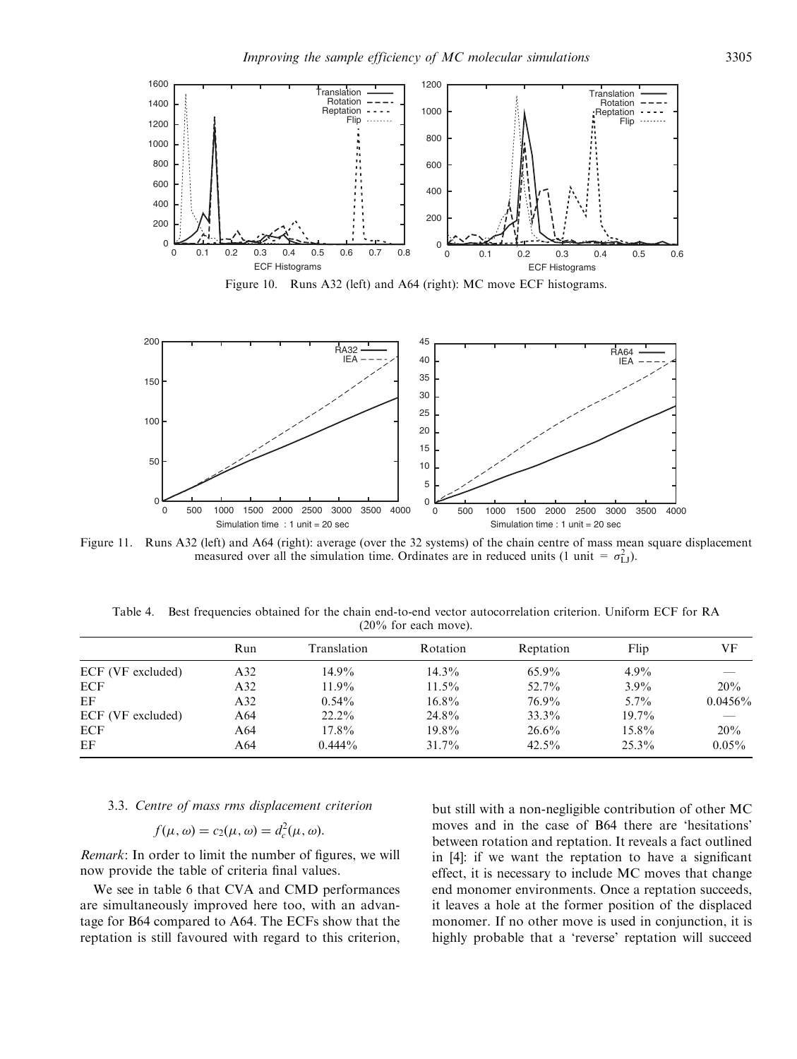

Figure 10. Runs A32 (left) and A64 (right): MC move ECF histograms.



Figure 11. Runs A32 (left) and A64 (right): average (over the 32 systems) of the chain centre of mass mean square displacement measured over all the simulation time. Ordinates are in reduced units (1 unit =  $\sigma_{\text{LJ}}^2$ ).

Table 4. Best frequencies obtained for the chain end-to-end vector autocorrelation criterion. Uniform ECF for RA (20% for each move).

|                   | Run             | Translation | Rotation | Reptation | Flip     | VF         |
|-------------------|-----------------|-------------|----------|-----------|----------|------------|
| ECF (VF excluded) | A <sub>32</sub> | $14.9\%$    | $14.3\%$ | 65.9%     | $4.9\%$  |            |
| ECF               | A32             | $11.9\%$    | $11.5\%$ | 52.7%     | $3.9\%$  | 20%        |
| EF                | A <sub>32</sub> | $0.54\%$    | $16.8\%$ | 76.9%     | $5.7\%$  | $0.0456\%$ |
| ECF (VF excluded) | A64             | $22.2\%$    | 24.8%    | $33.3\%$  | $19.7\%$ |            |
| ECF               | A64             | $17.8\%$    | $19.8\%$ | $26.6\%$  | 15.8%    | 20%        |
| EF                | A64             | $0.444\%$   | $31.7\%$ | $42.5\%$  | $25.3\%$ | $0.05\%$   |

## 3.3. Centre of mass rms displacement criterion

$$
f(\mu, \omega) = c_2(\mu, \omega) = d_c^2(\mu, \omega).
$$

Remark: In order to limit the number of figures, we will now provide the table of criteria final values.

We see in table 6 that CVA and CMD performances are simultaneously improved here too, with an advantage for B64 compared to A64. The ECFs show that the reptation is still favoured with regard to this criterion,

but still with a non-negligible contribution of other MC moves and in the case of B64 there are 'hesitations' between rotation and reptation. It reveals a fact outlined in [4]: if we want the reptation to have a significant effect, it is necessary to include MC moves that change end monomer environments. Once a reptation succeeds, it leaves a hole at the former position of the displaced monomer. If no other move is used in conjunction, it is highly probable that a 'reverse' reptation will succeed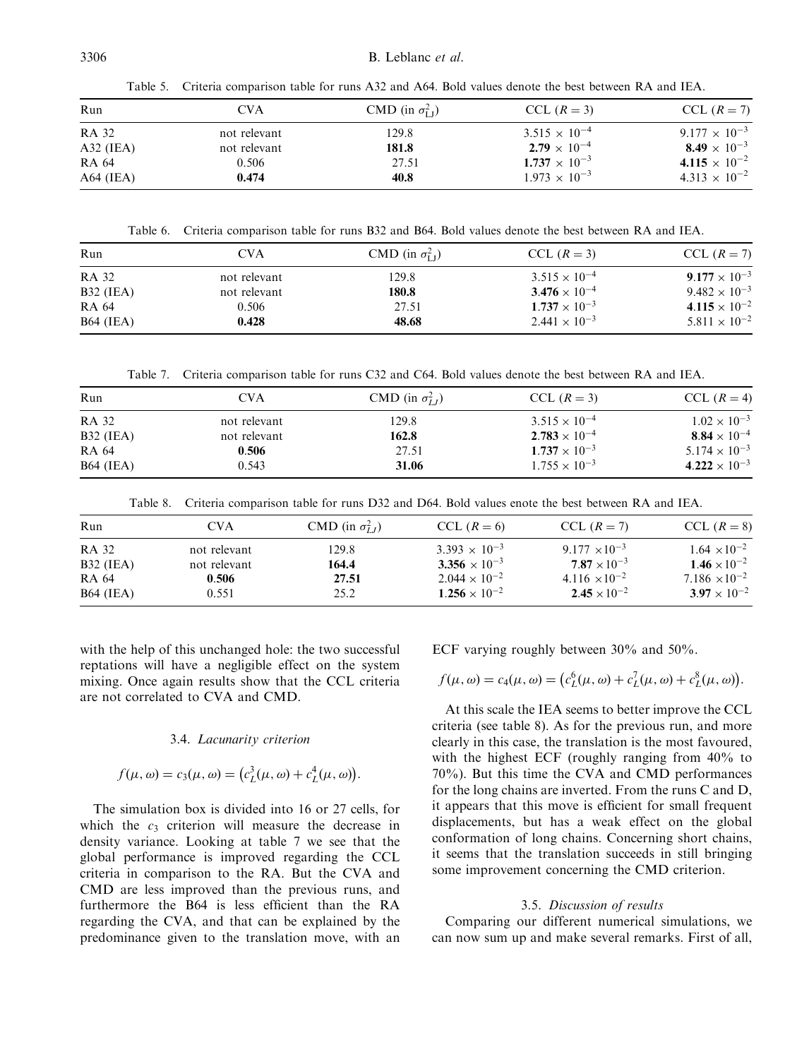| Run                         | CVA                   | CMD (in $\sigma_{\text{L}}^2$ ) | CCL $(R = 3)$                                   | CCL $(R = 7)$                                            |
|-----------------------------|-----------------------|---------------------------------|-------------------------------------------------|----------------------------------------------------------|
| <b>RA 32</b>                | not relevant          | 129.8                           | $3.515 \times 10^{-4}$<br>$2.79 \times 10^{-4}$ | $9.177 \times 10^{-3}$<br>8.49 $\times$ 10 <sup>-3</sup> |
| $A32$ (IEA)<br><b>RA 64</b> | not relevant<br>0.506 | 181.8<br>27.51                  | $1.737 \times 10^{-3}$                          | 4.115 $\times$ 10 <sup>-2</sup>                          |
| $A64$ (IEA)                 | 0.474                 | 40.8                            | $1.973 \times 10^{-3}$                          | $4.313 \times 10^{-2}$                                   |

Table 5. Criteria comparison table for runs A32 and A64. Bold values denote the best between RA and IEA.

Table 6. Criteria comparison table for runs B32 and B64. Bold values denote the best between RA and IEA.

| Run              | <b>CVA</b>   | CMD (in $\sigma_{\text{II}}^2$ ) | CCL $(R = 3)$          | CCL $(R = 7)$          |
|------------------|--------------|----------------------------------|------------------------|------------------------|
| <b>RA</b> 32     | not relevant | 129.8                            | $3.515 \times 10^{-4}$ | $9.177 \times 10^{-3}$ |
| $B32$ (IEA)      | not relevant | 180.8                            | $3.476 \times 10^{-4}$ | $9.482 \times 10^{-3}$ |
| <b>RA 64</b>     | 0.506        | 27.51                            | $1.737 \times 10^{-3}$ | $4.115 \times 10^{-2}$ |
| <b>B64 (IEA)</b> | 0.428        | 48.68                            | $2.441 \times 10^{-3}$ | $5.811 \times 10^{-2}$ |

Table 7. Criteria comparison table for runs C32 and C64. Bold values denote the best between RA and IEA.

| Run              | <b>CVA</b>   | CMD (in $\sigma_{LI}^2$ ) | CCL $(R = 3)$          | CCL $(R = 4)$                   |
|------------------|--------------|---------------------------|------------------------|---------------------------------|
| <b>RA</b> 32     | not relevant | 129.8                     | $3.515 \times 10^{-4}$ | $1.02 \times 10^{-3}$           |
| $B32$ (IEA)      | not relevant | 162.8                     | $2.783 \times 10^{-4}$ | $8.84 \times 10^{-4}$           |
| <b>RA 64</b>     | 0.506        | 27.51                     | $1.737 \times 10^{-3}$ | $5.174 \times 10^{-3}$          |
| <b>B64 (IEA)</b> | 0.543        | 31.06                     | $1.755 \times 10^{-3}$ | 4.222 $\times$ 10 <sup>-3</sup> |

Table 8. Criteria comparison table for runs D32 and D64. Bold values enote the best between RA and IEA.

| Run              | CVA          | CMD (in $\sigma_{II}^2$ ) | CCL $(R = 6)$          | CCL $(R = 7)$          | CCL $(R = 8)$          |
|------------------|--------------|---------------------------|------------------------|------------------------|------------------------|
| <b>RA</b> 32     | not relevant | 129.8                     | $3.393 \times 10^{-3}$ | $9.177 \times 10^{-3}$ | $1.64 \times 10^{-2}$  |
| $B32$ (IEA)      | not relevant | 164.4                     | $3.356 \times 10^{-3}$ | $7.87 \times 10^{-3}$  | $1.46 \times 10^{-2}$  |
| RA 64            | 0.506        | 27.51                     | $2.044 \times 10^{-2}$ | $4.116 \times 10^{-2}$ | $7.186 \times 10^{-2}$ |
| <b>B64 (IEA)</b> | 0.551        | 25.2                      | $1.256 \times 10^{-2}$ | $2.45 \times 10^{-2}$  | $3.97 \times 10^{-2}$  |

with the help of this unchanged hole: the two successful reptations will have a negligible effect on the system mixing. Once again results show that the CCL criteria are not correlated to CVA and CMD.

## 3.4. Lacunarity criterion

$$
f(\mu, \omega) = c_3(\mu, \omega) = (c_L^3(\mu, \omega) + c_L^4(\mu, \omega)).
$$

The simulation box is divided into 16 or 27 cells, for which the  $c_3$  criterion will measure the decrease in density variance. Looking at table 7 we see that the global performance is improved regarding the CCL criteria in comparison to the RA. But the CVA and CMD are less improved than the previous runs, and furthermore the B64 is less efficient than the RA regarding the CVA, and that can be explained by the predominance given to the translation move, with an ECF varying roughly between 30% and 50%.

$$
f(\mu, \omega) = c_4(\mu, \omega) = (c_L^6(\mu, \omega) + c_L^7(\mu, \omega) + c_L^8(\mu, \omega)).
$$

At this scale the IEA seems to better improve the CCL criteria (see table 8). As for the previous run, and more clearly in this case, the translation is the most favoured, with the highest ECF (roughly ranging from 40% to 70%). But this time the CVA and CMD performances for the long chains are inverted. From the runs C and D, it appears that this move is efficient for small frequent displacements, but has a weak effect on the global conformation of long chains. Concerning short chains, it seems that the translation succeeds in still bringing some improvement concerning the CMD criterion.

## 3.5. Discussion of results

Comparing our different numerical simulations, we can now sum up and make several remarks. First of all,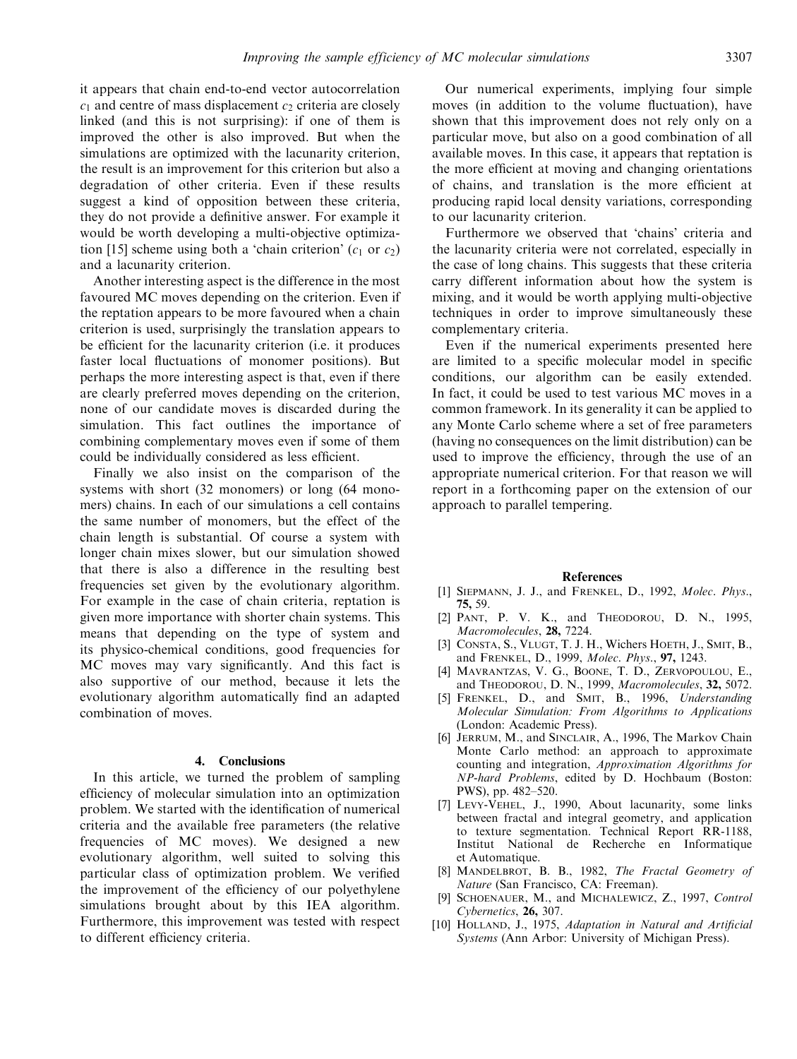it appears that chain end-to-end vector autocorrelation  $c_1$  and centre of mass displacement  $c_2$  criteria are closely linked (and this is not surprising): if one of them is improved the other is also improved. But when the simulations are optimized with the lacunarity criterion, the result is an improvement for this criterion but also a degradation of other criteria. Even if these results suggest a kind of opposition between these criteria, they do not provide a definitive answer. For example it would be worth developing a multi-objective optimization [15] scheme using both a 'chain criterion'  $(c_1$  or  $c_2$ ) and a lacunarity criterion.

Another interesting aspect is the difference in the most favoured MC moves depending on the criterion. Even if the reptation appears to be more favoured when a chain criterion is used, surprisingly the translation appears to be efficient for the lacunarity criterion (i.e. it produces faster local fluctuations of monomer positions). But perhaps the more interesting aspect is that, even if there are clearly preferred moves depending on the criterion, none of our candidate moves is discarded during the simulation. This fact outlines the importance of combining complementary moves even if some of them could be individually considered as less efficient.

Finally we also insist on the comparison of the systems with short (32 monomers) or long (64 monomers) chains. In each of our simulations a cell contains the same number of monomers, but the effect of the chain length is substantial. Of course a system with longer chain mixes slower, but our simulation showed that there is also a difference in the resulting best frequencies set given by the evolutionary algorithm. For example in the case of chain criteria, reptation is given more importance with shorter chain systems. This means that depending on the type of system and its physico-chemical conditions, good frequencies for MC moves may vary significantly. And this fact is also supportive of our method, because it lets the evolutionary algorithm automatically find an adapted combination of moves.

#### 4. Conclusions

In this article, we turned the problem of sampling efficiency of molecular simulation into an optimization problem. We started with the identification of numerical criteria and the available free parameters (the relative frequencies of MC moves). We designed a new evolutionary algorithm, well suited to solving this particular class of optimization problem. We verified the improvement of the efficiency of our polyethylene simulations brought about by this IEA algorithm. Furthermore, this improvement was tested with respect to different efficiency criteria.

Our numerical experiments, implying four simple moves (in addition to the volume fluctuation), have shown that this improvement does not rely only on a particular move, but also on a good combination of all available moves. In this case, it appears that reptation is the more efficient at moving and changing orientations of chains, and translation is the more efficient at producing rapid local density variations, corresponding to our lacunarity criterion.

Furthermore we observed that 'chains' criteria and the lacunarity criteria were not correlated, especially in the case of long chains. This suggests that these criteria carry different information about how the system is mixing, and it would be worth applying multi-objective techniques in order to improve simultaneously these complementary criteria.

Even if the numerical experiments presented here are limited to a specific molecular model in specific conditions, our algorithm can be easily extended. In fact, it could be used to test various MC moves in a common framework. In its generality it can be applied to any Monte Carlo scheme where a set of free parameters (having no consequences on the limit distribution) can be used to improve the efficiency, through the use of an appropriate numerical criterion. For that reason we will report in a forthcoming paper on the extension of our approach to parallel tempering.

#### References

- [1] SIEPMANN, J. J., and FRENKEL, D., 1992, Molec. Phys., 75, 59.
- [2] PANT, P. V. K., and THEODOROU, D. N., 1995, Macromolecules, 28, 7224.
- [3] CONSTA, S., VLUGT, T. J. H., Wichers HOETH, J., SMIT, B., and FRENKEL, D., 1999, Molec. Phys., 97, 1243.
- [4] MAVRANTZAS, V. G., BOONE, T. D., ZERVOPOULOU, E., and THEODOROU, D. N., 1999, Macromolecules, 32, 5072.
- [5] FRENKEL, D., and SMIT, B., 1996, Understanding Molecular Simulation: From Algorithms to Applications (London: Academic Press).
- [6] JERRUM, M., and SINCLAIR, A., 1996, The Markov Chain Monte Carlo method: an approach to approximate counting and integration, Approximation Algorithms for NP-hard Problems, edited by D. Hochbaum (Boston: PWS), pp. 482–520.
- [7] LEVY-VEHEL, J., 1990, About lacunarity, some links between fractal and integral geometry, and application to texture segmentation. Technical Report RR-1188, Institut National de Recherche en Informatique et Automatique.
- [8] MANDELBROT, B. B., 1982, The Fractal Geometry of Nature (San Francisco, CA: Freeman).
- [9] SCHOENAUER, M., and MICHALEWICZ, Z., 1997, Control Cybernetics, 26, 307.
- [10] HOLLAND, J., 1975, Adaptation in Natural and Artificial Systems (Ann Arbor: University of Michigan Press).